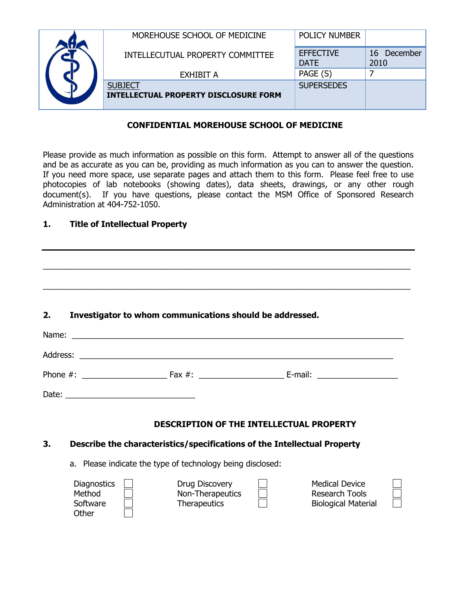|  | MOREHOUSE SCHOOL OF MEDICINE                                   | <b>POLICY NUMBER</b>            |                        |
|--|----------------------------------------------------------------|---------------------------------|------------------------|
|  | INTELLECUTUAL PROPERTY COMMITTEE                               | <b>EFFECTIVE</b><br><b>DATE</b> | 16<br>December<br>2010 |
|  | EXHIBIT A                                                      | PAGE (S)                        |                        |
|  | <b>SUBJECT</b><br><b>INTELLECTUAL PROPERTY DISCLOSURE FORM</b> | <b>SUPERSEDES</b>               |                        |

## **CONFIDENTIAL MOREHOUSE SCHOOL OF MEDICINE**

Please provide as much information as possible on this form. Attempt to answer all of the questions and be as accurate as you can be, providing as much information as you can to answer the question. If you need more space, use separate pages and attach them to this form. Please feel free to use photocopies of lab notebooks (showing dates), data sheets, drawings, or any other rough document(s). If you have questions, please contact the MSM Office of Sponsored Research Administration at 404-752-1050.

\_\_\_\_\_\_\_\_\_\_\_\_\_\_\_\_\_\_\_\_\_\_\_\_\_\_\_\_\_\_\_\_\_\_\_\_\_\_\_\_\_\_\_\_\_\_\_\_\_\_\_\_\_\_\_\_\_\_\_\_\_\_\_\_\_\_\_\_\_\_\_\_\_\_\_\_\_\_\_\_\_\_

 $\_$  ,  $\_$  ,  $\_$  ,  $\_$  ,  $\_$  ,  $\_$  ,  $\_$  ,  $\_$  ,  $\_$  ,  $\_$  ,  $\_$  ,  $\_$  ,  $\_$  ,  $\_$  ,  $\_$  ,  $\_$  ,  $\_$  ,  $\_$  ,  $\_$  ,  $\_$  ,  $\_$  ,  $\_$  ,  $\_$  ,  $\_$  ,  $\_$  ,  $\_$  ,  $\_$  ,  $\_$  ,  $\_$  ,  $\_$  ,  $\_$  ,  $\_$  ,  $\_$  ,  $\_$  ,  $\_$  ,  $\_$  ,  $\_$  ,

## **1. Title of Intellectual Property**

# **2. Investigator to whom communications should be addressed.**

|  | <b>DESCRIPTION OF THE INTELLECTUAL PROPERTY</b> |  |
|--|-------------------------------------------------|--|

#### **3. Describe the characteristics/specifications of the Intellectual Property**

a. Please indicate the type of technology being disclosed:

| <b>Diagnostics</b> | Drug Discovery      | <b>Medical Device</b>      |  |
|--------------------|---------------------|----------------------------|--|
| Method             | Non-Therapeutics    | <b>Research Tools</b>      |  |
| Software           | <b>Therapeutics</b> | <b>Biological Material</b> |  |
| Other              |                     |                            |  |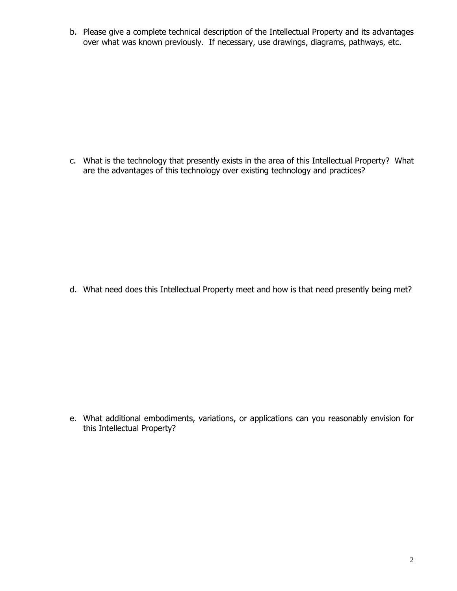b. Please give a complete technical description of the Intellectual Property and its advantages over what was known previously. If necessary, use drawings, diagrams, pathways, etc.

c. What is the technology that presently exists in the area of this Intellectual Property? What are the advantages of this technology over existing technology and practices?

d. What need does this Intellectual Property meet and how is that need presently being met?

e. What additional embodiments, variations, or applications can you reasonably envision for this Intellectual Property?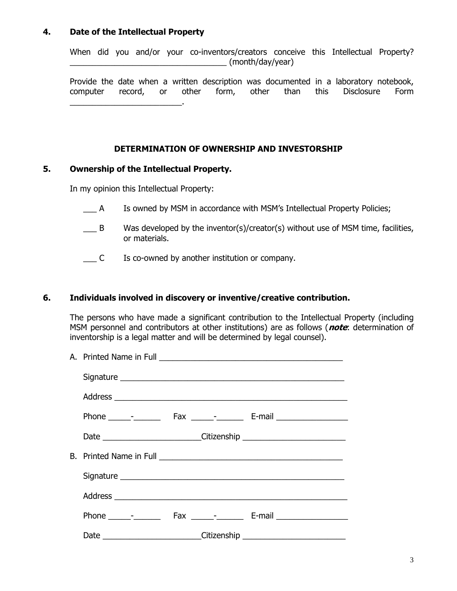### **4. Date of the Intellectual Property**

When did you and/or your co-inventors/creators conceive this Intellectual Property?  $\_$  (month/day/year)

Provide the date when a written description was documented in a laboratory notebook, computer record, or other form, other than this Disclosure Form \_\_\_\_\_\_\_\_\_\_\_\_\_\_\_\_\_\_\_\_\_\_\_\_\_.

### **DETERMINATION OF OWNERSHIP AND INVESTORSHIP**

#### **5. Ownership of the Intellectual Property.**

In my opinion this Intellectual Property:

- \_\_\_ A Is owned by MSM in accordance with MSM's Intellectual Property Policies;
- $\Box$  B Was developed by the inventor(s)/creator(s) without use of MSM time, facilities, or materials.
- \_\_\_ C Is co-owned by another institution or company.

### **6. Individuals involved in discovery or inventive/creative contribution.**

The persons who have made a significant contribution to the Intellectual Property (including MSM personnel and contributors at other institutions) are as follows (**note**: determination of inventorship is a legal matter and will be determined by legal counsel).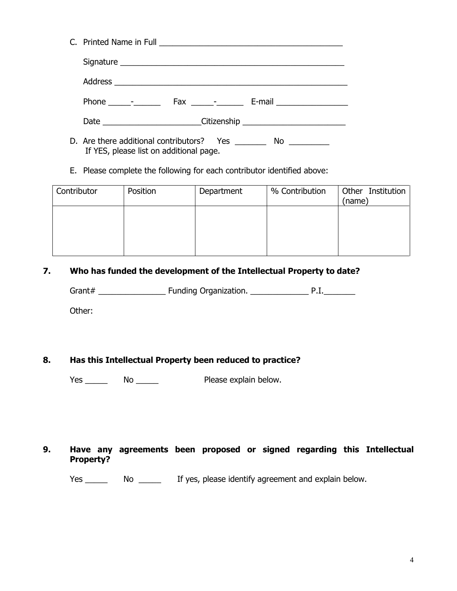- D. Are there additional contributors? Yes \_\_\_\_\_\_\_\_ No \_\_\_\_\_\_\_\_\_ If YES, please list on additional page.
- E. Please complete the following for each contributor identified above:

| Contributor | Position | Department | % Contribution | Other Institution<br>(name) |
|-------------|----------|------------|----------------|-----------------------------|
|             |          |            |                |                             |
|             |          |            |                |                             |
|             |          |            |                |                             |

## **7. Who has funded the development of the Intellectual Property to date?**

Grant# \_\_\_\_\_\_\_\_\_\_\_\_\_\_\_ Funding Organization. \_\_\_\_\_\_\_\_\_\_\_\_\_ P.I.\_\_\_\_\_\_\_

Other:

# **8. Has this Intellectual Property been reduced to practice?**

Yes \_\_\_\_\_\_ No \_\_\_\_\_\_ Please explain below.

## **9. Have any agreements been proposed or signed regarding this Intellectual Property?**

Yes \_\_\_\_\_ No \_\_\_\_\_ If yes, please identify agreement and explain below.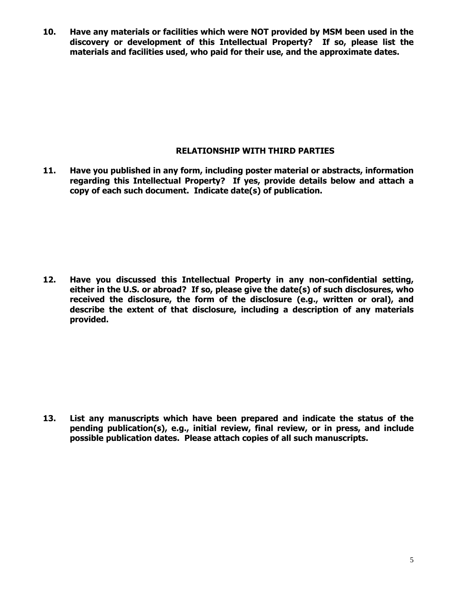**10. Have any materials or facilities which were NOT provided by MSM been used in the discovery or development of this Intellectual Property? If so, please list the materials and facilities used, who paid for their use, and the approximate dates.**

### **RELATIONSHIP WITH THIRD PARTIES**

**11. Have you published in any form, including poster material or abstracts, information regarding this Intellectual Property? If yes, provide details below and attach a copy of each such document. Indicate date(s) of publication.**

**12. Have you discussed this Intellectual Property in any non-confidential setting, either in the U.S. or abroad? If so, please give the date(s) of such disclosures, who received the disclosure, the form of the disclosure (e.g., written or oral), and describe the extent of that disclosure, including a description of any materials provided.**

**13. List any manuscripts which have been prepared and indicate the status of the pending publication(s), e.g., initial review, final review, or in press, and include possible publication dates. Please attach copies of all such manuscripts.**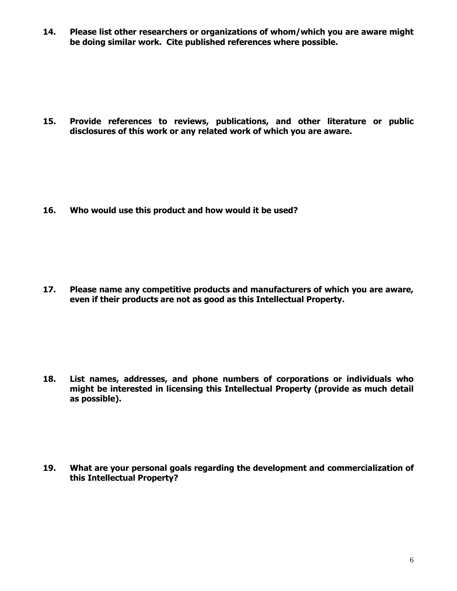**14. Please list other researchers or organizations of whom/which you are aware might be doing similar work. Cite published references where possible.**

**15. Provide references to reviews, publications, and other literature or public disclosures of this work or any related work of which you are aware.**

**16. Who would use this product and how would it be used?**

**17. Please name any competitive products and manufacturers of which you are aware, even if their products are not as good as this Intellectual Property.**

**18. List names, addresses, and phone numbers of corporations or individuals who might be interested in licensing this Intellectual Property (provide as much detail as possible).**

**19. What are your personal goals regarding the development and commercialization of this Intellectual Property?**